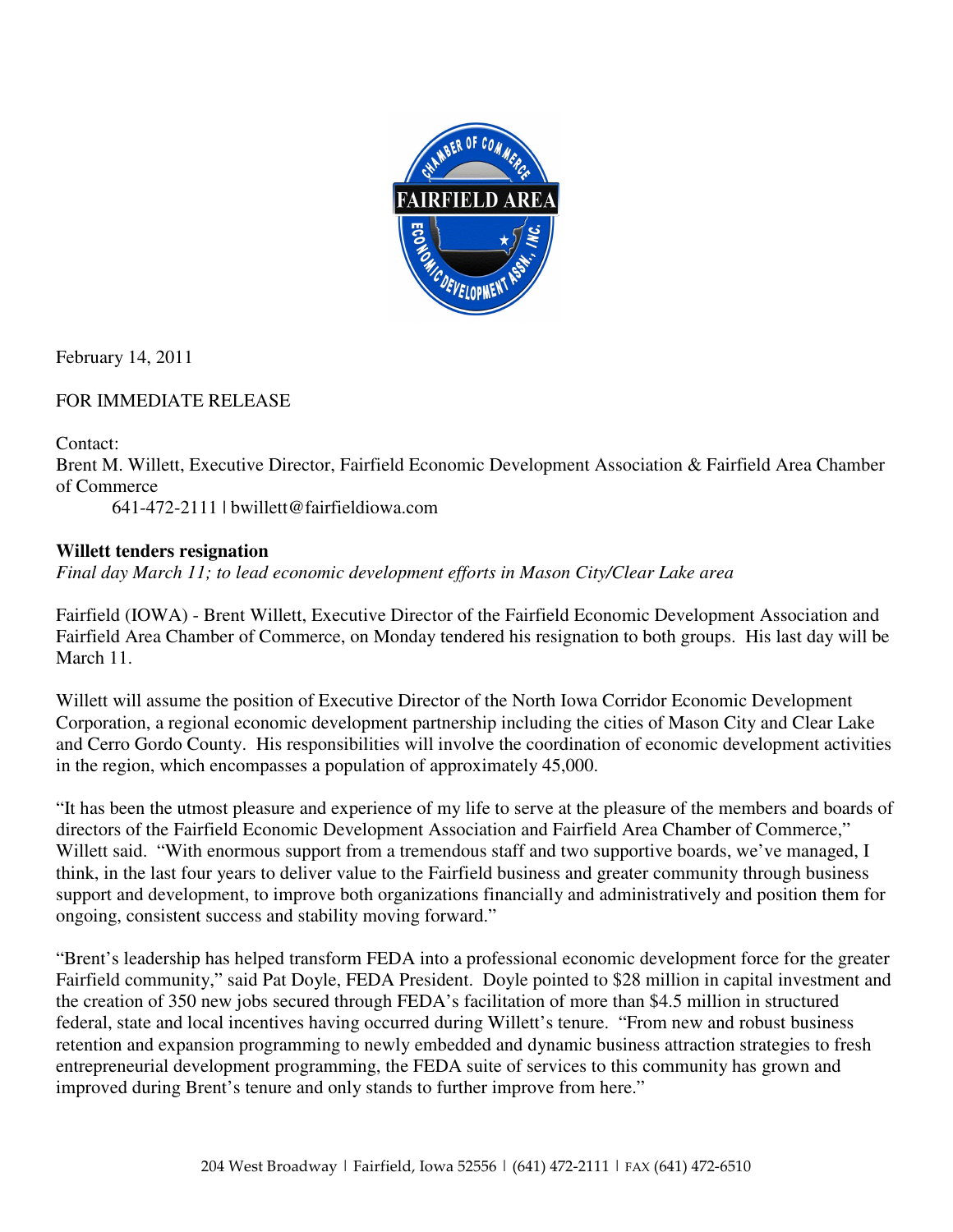

February 14, 2011

## FOR IMMEDIATE RELEASE

## Contact:

Brent M. Willett, Executive Director, Fairfield Economic Development Association & Fairfield Area Chamber of Commerce

641-472-2111 | bwillett@fairfieldiowa.com

## **Willett tenders resignation**

*Final day March 11; to lead economic development efforts in Mason City/Clear Lake area* 

Fairfield (IOWA) - Brent Willett, Executive Director of the Fairfield Economic Development Association and Fairfield Area Chamber of Commerce, on Monday tendered his resignation to both groups. His last day will be March 11.

Willett will assume the position of Executive Director of the North Iowa Corridor Economic Development Corporation, a regional economic development partnership including the cities of Mason City and Clear Lake and Cerro Gordo County. His responsibilities will involve the coordination of economic development activities in the region, which encompasses a population of approximately 45,000.

"It has been the utmost pleasure and experience of my life to serve at the pleasure of the members and boards of directors of the Fairfield Economic Development Association and Fairfield Area Chamber of Commerce," Willett said. "With enormous support from a tremendous staff and two supportive boards, we've managed, I think, in the last four years to deliver value to the Fairfield business and greater community through business support and development, to improve both organizations financially and administratively and position them for ongoing, consistent success and stability moving forward."

"Brent's leadership has helped transform FEDA into a professional economic development force for the greater Fairfield community," said Pat Doyle, FEDA President. Doyle pointed to \$28 million in capital investment and the creation of 350 new jobs secured through FEDA's facilitation of more than \$4.5 million in structured federal, state and local incentives having occurred during Willett's tenure. "From new and robust business retention and expansion programming to newly embedded and dynamic business attraction strategies to fresh entrepreneurial development programming, the FEDA suite of services to this community has grown and improved during Brent's tenure and only stands to further improve from here."